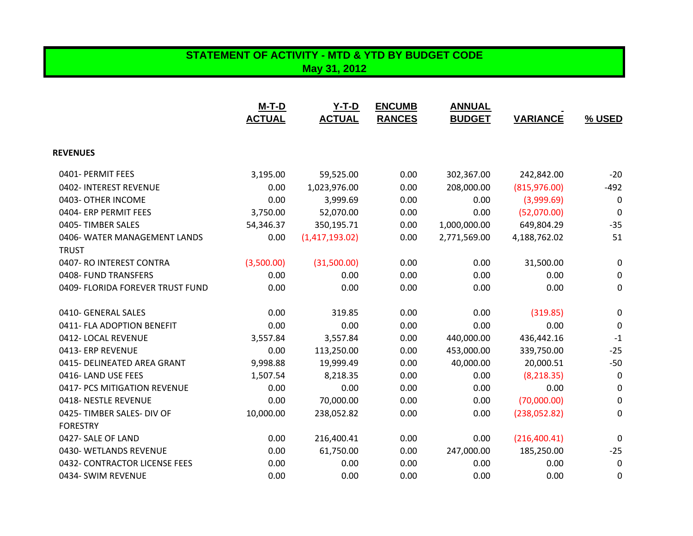## **STATEMENT OF ACTIVITY - MTD & YTD BY BUDGET CODE May 31, 2012**

|                                  | M-T-D<br><b>ACTUAL</b> | $Y-T-D$<br><b>ACTUAL</b> | <b>ENCUMB</b><br><b>RANCES</b> | <b>ANNUAL</b><br><b>BUDGET</b> | <b>VARIANCE</b> | % USED           |
|----------------------------------|------------------------|--------------------------|--------------------------------|--------------------------------|-----------------|------------------|
|                                  |                        |                          |                                |                                |                 |                  |
| <b>REVENUES</b>                  |                        |                          |                                |                                |                 |                  |
| 0401- PERMIT FEES                | 3,195.00               | 59,525.00                | 0.00                           | 302,367.00                     | 242,842.00      | $-20$            |
| 0402- INTEREST REVENUE           | 0.00                   | 1,023,976.00             | 0.00                           | 208,000.00                     | (815, 976.00)   | $-492$           |
| 0403- OTHER INCOME               | 0.00                   | 3,999.69                 | 0.00                           | 0.00                           | (3,999.69)      | 0                |
| 0404- ERP PERMIT FEES            | 3,750.00               | 52,070.00                | 0.00                           | 0.00                           | (52,070.00)     | $\Omega$         |
| 0405-TIMBER SALES                | 54,346.37              | 350,195.71               | 0.00                           | 1,000,000.00                   | 649,804.29      | $-35$            |
| 0406- WATER MANAGEMENT LANDS     | 0.00                   | (1,417,193.02)           | 0.00                           | 2,771,569.00                   | 4,188,762.02    | 51               |
| <b>TRUST</b>                     |                        |                          |                                |                                |                 |                  |
| 0407- RO INTEREST CONTRA         | (3,500.00)             | (31,500.00)              | 0.00                           | 0.00                           | 31,500.00       | 0                |
| 0408- FUND TRANSFERS             | 0.00                   | 0.00                     | 0.00                           | 0.00                           | 0.00            | 0                |
| 0409- FLORIDA FOREVER TRUST FUND | 0.00                   | 0.00                     | 0.00                           | 0.00                           | 0.00            | 0                |
| 0410- GENERAL SALES              | 0.00                   | 319.85                   | 0.00                           | 0.00                           | (319.85)        | $\boldsymbol{0}$ |
| 0411- FLA ADOPTION BENEFIT       | 0.00                   | 0.00                     | 0.00                           | 0.00                           | 0.00            | 0                |
| 0412-LOCAL REVENUE               | 3,557.84               | 3,557.84                 | 0.00                           | 440,000.00                     | 436,442.16      | $-1$             |
| 0413- ERP REVENUE                | 0.00                   | 113,250.00               | 0.00                           | 453,000.00                     | 339,750.00      | $-25$            |
| 0415- DELINEATED AREA GRANT      | 9,998.88               | 19,999.49                | 0.00                           | 40,000.00                      | 20,000.51       | $-50$            |
| 0416-LAND USE FEES               | 1,507.54               | 8,218.35                 | 0.00                           | 0.00                           | (8, 218.35)     | 0                |
| 0417- PCS MITIGATION REVENUE     | 0.00                   | 0.00                     | 0.00                           | 0.00                           | 0.00            | 0                |
| 0418-NESTLE REVENUE              | 0.00                   | 70,000.00                | 0.00                           | 0.00                           | (70,000.00)     | 0                |
| 0425-TIMBER SALES- DIV OF        | 10,000.00              | 238,052.82               | 0.00                           | 0.00                           | (238,052.82)    | 0                |
| <b>FORESTRY</b>                  |                        |                          |                                |                                |                 |                  |
| 0427- SALE OF LAND               | 0.00                   | 216,400.41               | 0.00                           | 0.00                           | (216, 400.41)   | 0                |
| 0430- WETLANDS REVENUE           | 0.00                   | 61,750.00                | 0.00                           | 247,000.00                     | 185,250.00      | $-25$            |
| 0432- CONTRACTOR LICENSE FEES    | 0.00                   | 0.00                     | 0.00                           | 0.00                           | 0.00            | 0                |
| 0434- SWIM REVENUE               | 0.00                   | 0.00                     | 0.00                           | 0.00                           | 0.00            | 0                |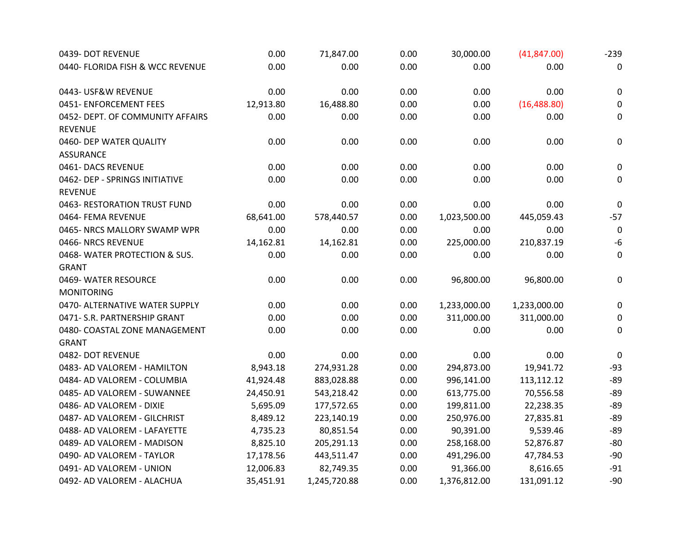| 0439- DOT REVENUE                | 0.00      | 71,847.00    | 0.00 | 30,000.00    | (41, 847.00) | $-239$           |
|----------------------------------|-----------|--------------|------|--------------|--------------|------------------|
| 0440- FLORIDA FISH & WCC REVENUE | 0.00      | 0.00         | 0.00 | 0.00         | 0.00         | 0                |
| 0443- USF&W REVENUE              | 0.00      | 0.00         | 0.00 | 0.00         | 0.00         | $\pmb{0}$        |
| 0451- ENFORCEMENT FEES           | 12,913.80 | 16,488.80    | 0.00 | 0.00         | (16, 488.80) | 0                |
| 0452- DEPT. OF COMMUNITY AFFAIRS | 0.00      | 0.00         | 0.00 | 0.00         | 0.00         | $\boldsymbol{0}$ |
| <b>REVENUE</b>                   |           |              |      |              |              |                  |
| 0460- DEP WATER QUALITY          | 0.00      | 0.00         | 0.00 | 0.00         | 0.00         | $\pmb{0}$        |
| <b>ASSURANCE</b>                 |           |              |      |              |              |                  |
| 0461- DACS REVENUE               | 0.00      | 0.00         | 0.00 | 0.00         | 0.00         | $\mathbf 0$      |
| 0462- DEP - SPRINGS INITIATIVE   | 0.00      | 0.00         | 0.00 | 0.00         | 0.00         | $\mathbf 0$      |
| <b>REVENUE</b>                   |           |              |      |              |              |                  |
| 0463- RESTORATION TRUST FUND     | 0.00      | 0.00         | 0.00 | 0.00         | 0.00         | $\mathbf 0$      |
| 0464- FEMA REVENUE               | 68,641.00 | 578,440.57   | 0.00 | 1,023,500.00 | 445,059.43   | $-57$            |
| 0465- NRCS MALLORY SWAMP WPR     | 0.00      | 0.00         | 0.00 | 0.00         | 0.00         | $\mathbf 0$      |
| 0466-NRCS REVENUE                | 14,162.81 | 14,162.81    | 0.00 | 225,000.00   | 210,837.19   | $-6$             |
| 0468-WATER PROTECTION & SUS.     | 0.00      | 0.00         | 0.00 | 0.00         | 0.00         | $\mathbf 0$      |
| <b>GRANT</b>                     |           |              |      |              |              |                  |
| 0469- WATER RESOURCE             | 0.00      | 0.00         | 0.00 | 96,800.00    | 96,800.00    | $\boldsymbol{0}$ |
| <b>MONITORING</b>                |           |              |      |              |              |                  |
| 0470- ALTERNATIVE WATER SUPPLY   | 0.00      | 0.00         | 0.00 | 1,233,000.00 | 1,233,000.00 | $\mathbf 0$      |
| 0471- S.R. PARTNERSHIP GRANT     | 0.00      | 0.00         | 0.00 | 311,000.00   | 311,000.00   | $\mathbf 0$      |
| 0480- COASTAL ZONE MANAGEMENT    | 0.00      | 0.00         | 0.00 | 0.00         | 0.00         | $\mathbf 0$      |
| <b>GRANT</b>                     |           |              |      |              |              |                  |
| 0482- DOT REVENUE                | 0.00      | 0.00         | 0.00 | 0.00         | 0.00         | 0                |
| 0483- AD VALOREM - HAMILTON      | 8,943.18  | 274,931.28   | 0.00 | 294,873.00   | 19,941.72    | $-93$            |
| 0484- AD VALOREM - COLUMBIA      | 41,924.48 | 883,028.88   | 0.00 | 996,141.00   | 113,112.12   | $-89$            |
| 0485- AD VALOREM - SUWANNEE      | 24,450.91 | 543,218.42   | 0.00 | 613,775.00   | 70,556.58    | $-89$            |
| 0486- AD VALOREM - DIXIE         | 5,695.09  | 177,572.65   | 0.00 | 199,811.00   | 22,238.35    | $-89$            |
| 0487- AD VALOREM - GILCHRIST     | 8,489.12  | 223,140.19   | 0.00 | 250,976.00   | 27,835.81    | $-89$            |
| 0488- AD VALOREM - LAFAYETTE     | 4,735.23  | 80,851.54    | 0.00 | 90,391.00    | 9,539.46     | $-89$            |
| 0489- AD VALOREM - MADISON       | 8,825.10  | 205,291.13   | 0.00 | 258,168.00   | 52,876.87    | $-80$            |
| 0490- AD VALOREM - TAYLOR        | 17,178.56 | 443,511.47   | 0.00 | 491,296.00   | 47,784.53    | $-90$            |
| 0491- AD VALOREM - UNION         | 12,006.83 | 82,749.35    | 0.00 | 91,366.00    | 8,616.65     | $-91$            |
| 0492- AD VALOREM - ALACHUA       | 35,451.91 | 1,245,720.88 | 0.00 | 1,376,812.00 | 131,091.12   | $-90$            |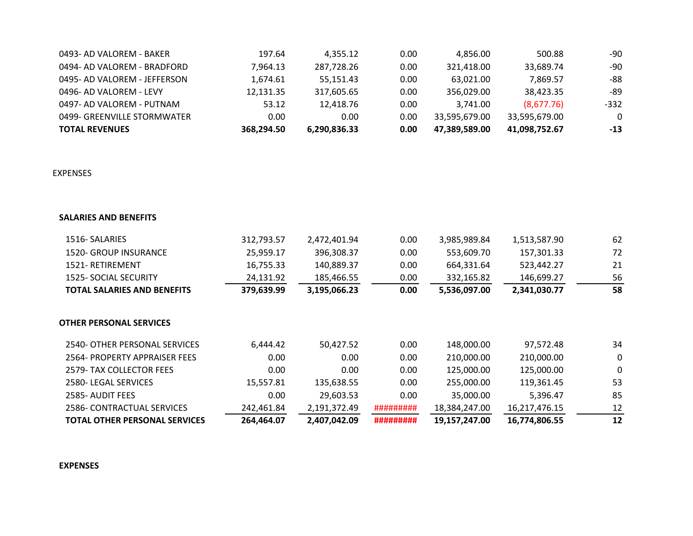| <b>TOTAL REVENUES</b>        | 368.294.50 | 6.290.836.33 | 0.00 | 47.389.589.00 | 41.098.752.67 | -13      |
|------------------------------|------------|--------------|------|---------------|---------------|----------|
| 0499- GREENVILLE STORMWATER  | 0.00       | 0.00         | 0.00 | 33.595.679.00 | 33.595.679.00 | $\Omega$ |
| 0497- AD VALOREM - PUTNAM    | 53.12      | 12.418.76    | 0.00 | 3.741.00      | (8,677.76)    | -332     |
| 0496- AD VALOREM - LEVY      | 12.131.35  | 317.605.65   | 0.00 | 356,029.00    | 38,423.35     | -89      |
| 0495- AD VALOREM - JEFFERSON | 1,674.61   | 55.151.43    | 0.00 | 63.021.00     | 7.869.57      | -88      |
| 0494- AD VALOREM - BRADFORD  | 7.964.13   | 287,728.26   | 0.00 | 321.418.00    | 33,689.74     | -90      |
| 0493- AD VALOREM - BAKER     | 197.64     | 4.355.12     | 0.00 | 4.856.00      | 500.88        | -90      |

## EXPENSES

## **SALARIES AND BENEFITS**

| 1516- SALARIES                       | 312,793.57 | 2,472,401.94 | 0.00      | 3,985,989.84  | 1,513,587.90  | 62 |
|--------------------------------------|------------|--------------|-----------|---------------|---------------|----|
| <b>1520- GROUP INSURANCE</b>         | 25,959.17  | 396,308.37   | 0.00      | 553,609.70    | 157,301.33    | 72 |
| 1521-RETIREMENT                      | 16,755.33  | 140,889.37   | 0.00      | 664,331.64    | 523,442.27    | 21 |
| <b>1525- SOCIAL SECURITY</b>         | 24,131.92  | 185,466.55   | 0.00      | 332,165.82    | 146,699.27    | 56 |
| <b>TOTAL SALARIES AND BENEFITS</b>   | 379,639.99 | 3,195,066.23 | 0.00      | 5,536,097.00  | 2,341,030.77  | 58 |
| OTHER PERSONAL SERVICES              |            |              |           |               |               |    |
| 2540- OTHER PERSONAL SERVICES        | 6,444.42   | 50,427.52    | 0.00      | 148,000.00    | 97,572.48     | 34 |
| 2564- PROPERTY APPRAISER FEES        | 0.00       | 0.00         | 0.00      | 210,000.00    | 210,000.00    | 0  |
| 2579- TAX COLLECTOR FEES             | 0.00       | 0.00         | 0.00      | 125,000.00    | 125,000.00    | 0  |
| 2580- LEGAL SERVICES                 | 15,557.81  | 135,638.55   | 0.00      | 255,000.00    | 119,361.45    | 53 |
| 2585- AUDIT FEES                     | 0.00       | 29,603.53    | 0.00      | 35,000.00     | 5,396.47      | 85 |
| 2586- CONTRACTUAL SERVICES           | 242,461.84 | 2,191,372.49 | ######### | 18,384,247.00 | 16,217,476.15 | 12 |
| <b>TOTAL OTHER PERSONAL SERVICES</b> | 264,464.07 | 2,407,042.09 | ######### | 19,157,247.00 | 16,774,806.55 | 12 |

## **EXPENSES**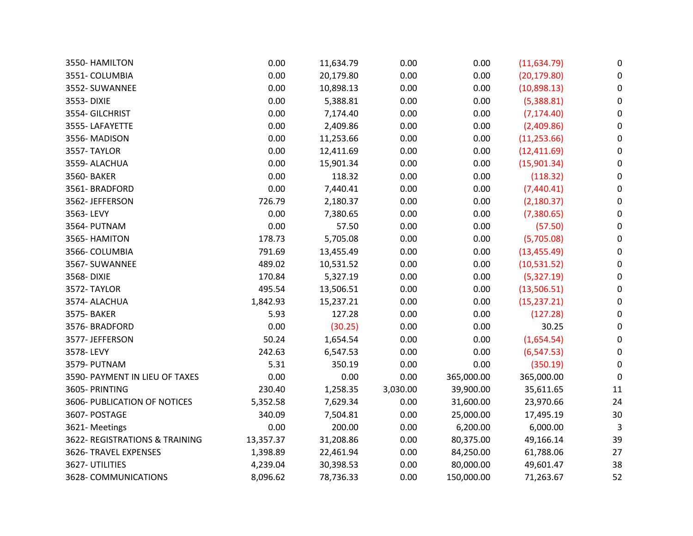| 3550- HAMILTON                 | 0.00      | 11,634.79 | 0.00     | 0.00       | (11, 634.79) | 0                |
|--------------------------------|-----------|-----------|----------|------------|--------------|------------------|
| 3551- COLUMBIA                 | 0.00      | 20,179.80 | 0.00     | 0.00       | (20, 179.80) | 0                |
| 3552- SUWANNEE                 | 0.00      | 10,898.13 | 0.00     | 0.00       | (10,898.13)  | $\pmb{0}$        |
| 3553-DIXIE                     | 0.00      | 5,388.81  | 0.00     | 0.00       | (5,388.81)   | 0                |
| 3554- GILCHRIST                | 0.00      | 7,174.40  | 0.00     | 0.00       | (7, 174.40)  | 0                |
| 3555-LAFAYETTE                 | 0.00      | 2,409.86  | 0.00     | 0.00       | (2,409.86)   | $\mathbf 0$      |
| 3556-MADISON                   | 0.00      | 11,253.66 | 0.00     | 0.00       | (11, 253.66) | 0                |
| 3557-TAYLOR                    | 0.00      | 12,411.69 | 0.00     | 0.00       | (12, 411.69) | 0                |
| 3559- ALACHUA                  | 0.00      | 15,901.34 | 0.00     | 0.00       | (15,901.34)  | 0                |
| 3560- BAKER                    | 0.00      | 118.32    | 0.00     | 0.00       | (118.32)     | $\mathbf 0$      |
| 3561-BRADFORD                  | 0.00      | 7,440.41  | 0.00     | 0.00       | (7,440.41)   | 0                |
| 3562-JEFFERSON                 | 726.79    | 2,180.37  | 0.00     | 0.00       | (2, 180.37)  | 0                |
| 3563-LEVY                      | 0.00      | 7,380.65  | 0.00     | 0.00       | (7,380.65)   | $\boldsymbol{0}$ |
| 3564- PUTNAM                   | 0.00      | 57.50     | 0.00     | 0.00       | (57.50)      | $\mathbf 0$      |
| 3565- HAMITON                  | 178.73    | 5,705.08  | 0.00     | 0.00       | (5,705.08)   | $\boldsymbol{0}$ |
| 3566- COLUMBIA                 | 791.69    | 13,455.49 | 0.00     | 0.00       | (13, 455.49) | $\boldsymbol{0}$ |
| 3567-SUWANNEE                  | 489.02    | 10,531.52 | 0.00     | 0.00       | (10,531.52)  | 0                |
| 3568-DIXIE                     | 170.84    | 5,327.19  | 0.00     | 0.00       | (5,327.19)   | $\pmb{0}$        |
| 3572-TAYLOR                    | 495.54    | 13,506.51 | 0.00     | 0.00       | (13,506.51)  | 0                |
| 3574- ALACHUA                  | 1,842.93  | 15,237.21 | 0.00     | 0.00       | (15, 237.21) | $\mathbf 0$      |
| 3575- BAKER                    | 5.93      | 127.28    | 0.00     | 0.00       | (127.28)     | $\pmb{0}$        |
| 3576-BRADFORD                  | 0.00      | (30.25)   | 0.00     | 0.00       | 30.25        | 0                |
| 3577- JEFFERSON                | 50.24     | 1,654.54  | 0.00     | 0.00       | (1,654.54)   | 0                |
| 3578-LEVY                      | 242.63    | 6,547.53  | 0.00     | 0.00       | (6, 547.53)  | 0                |
| 3579- PUTNAM                   | 5.31      | 350.19    | 0.00     | 0.00       | (350.19)     | $\mathbf 0$      |
| 3590- PAYMENT IN LIEU OF TAXES | 0.00      | 0.00      | 0.00     | 365,000.00 | 365,000.00   | 0                |
| 3605- PRINTING                 | 230.40    | 1,258.35  | 3,030.00 | 39,900.00  | 35,611.65    | 11               |
| 3606- PUBLICATION OF NOTICES   | 5,352.58  | 7,629.34  | 0.00     | 31,600.00  | 23,970.66    | 24               |
| 3607- POSTAGE                  | 340.09    | 7,504.81  | 0.00     | 25,000.00  | 17,495.19    | 30               |
| 3621-Meetings                  | 0.00      | 200.00    | 0.00     | 6,200.00   | 6,000.00     | $\overline{3}$   |
| 3622- REGISTRATIONS & TRAINING | 13,357.37 | 31,208.86 | 0.00     | 80,375.00  | 49,166.14    | 39               |
| 3626- TRAVEL EXPENSES          | 1,398.89  | 22,461.94 | 0.00     | 84,250.00  | 61,788.06    | 27               |
| 3627- UTILITIES                | 4,239.04  | 30,398.53 | 0.00     | 80,000.00  | 49,601.47    | 38               |
| 3628- COMMUNICATIONS           | 8,096.62  | 78,736.33 | 0.00     | 150,000.00 | 71,263.67    | 52               |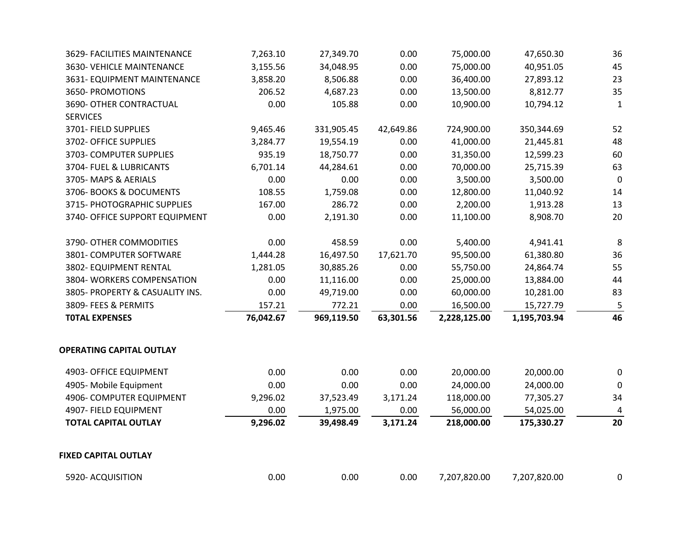| 3629- FACILITIES MAINTENANCE    | 7,263.10  | 27,349.70  | 0.00      | 75,000.00    | 47,650.30    | 36           |
|---------------------------------|-----------|------------|-----------|--------------|--------------|--------------|
| 3630- VEHICLE MAINTENANCE       | 3,155.56  | 34,048.95  | 0.00      | 75,000.00    | 40,951.05    | 45           |
| 3631- EQUIPMENT MAINTENANCE     | 3,858.20  | 8,506.88   | 0.00      | 36,400.00    | 27,893.12    | 23           |
| 3650- PROMOTIONS                | 206.52    | 4,687.23   | 0.00      | 13,500.00    | 8,812.77     | 35           |
| 3690- OTHER CONTRACTUAL         | 0.00      | 105.88     | 0.00      | 10,900.00    | 10,794.12    | $\mathbf{1}$ |
| <b>SERVICES</b>                 |           |            |           |              |              |              |
| 3701- FIELD SUPPLIES            | 9,465.46  | 331,905.45 | 42,649.86 | 724,900.00   | 350,344.69   | 52           |
| 3702- OFFICE SUPPLIES           | 3,284.77  | 19,554.19  | 0.00      | 41,000.00    | 21,445.81    | 48           |
| 3703- COMPUTER SUPPLIES         | 935.19    | 18,750.77  | 0.00      | 31,350.00    | 12,599.23    | 60           |
| 3704- FUEL & LUBRICANTS         | 6,701.14  | 44,284.61  | 0.00      | 70,000.00    | 25,715.39    | 63           |
| 3705-MAPS & AERIALS             | 0.00      | 0.00       | 0.00      | 3,500.00     | 3,500.00     | $\mathbf 0$  |
| 3706- BOOKS & DOCUMENTS         | 108.55    | 1,759.08   | 0.00      | 12,800.00    | 11,040.92    | 14           |
| 3715- PHOTOGRAPHIC SUPPLIES     | 167.00    | 286.72     | 0.00      | 2,200.00     | 1,913.28     | 13           |
| 3740- OFFICE SUPPORT EQUIPMENT  | 0.00      | 2,191.30   | 0.00      | 11,100.00    | 8,908.70     | 20           |
| 3790- OTHER COMMODITIES         | 0.00      | 458.59     | 0.00      | 5,400.00     | 4,941.41     | 8            |
| 3801- COMPUTER SOFTWARE         | 1,444.28  | 16,497.50  | 17,621.70 | 95,500.00    | 61,380.80    | 36           |
| 3802- EQUIPMENT RENTAL          | 1,281.05  | 30,885.26  | 0.00      | 55,750.00    | 24,864.74    | 55           |
| 3804- WORKERS COMPENSATION      | 0.00      | 11,116.00  | 0.00      | 25,000.00    | 13,884.00    | 44           |
| 3805- PROPERTY & CASUALITY INS. | 0.00      | 49,719.00  | 0.00      | 60,000.00    | 10,281.00    | 83           |
| 3809- FEES & PERMITS            | 157.21    | 772.21     | 0.00      | 16,500.00    | 15,727.79    | 5            |
| <b>TOTAL EXPENSES</b>           | 76,042.67 | 969,119.50 | 63,301.56 | 2,228,125.00 | 1,195,703.94 | 46           |
| <b>OPERATING CAPITAL OUTLAY</b> |           |            |           |              |              |              |
| 4903- OFFICE EQUIPMENT          | 0.00      | 0.00       | 0.00      | 20,000.00    | 20,000.00    | 0            |
| 4905- Mobile Equipment          | 0.00      | 0.00       | 0.00      | 24,000.00    | 24,000.00    | 0            |
| 4906- COMPUTER EQUIPMENT        | 9,296.02  | 37,523.49  | 3,171.24  | 118,000.00   | 77,305.27    | 34           |
| 4907- FIELD EQUIPMENT           | 0.00      | 1,975.00   | 0.00      | 56,000.00    | 54,025.00    | 4            |
| <b>TOTAL CAPITAL OUTLAY</b>     | 9,296.02  | 39,498.49  | 3,171.24  | 218,000.00   | 175,330.27   | 20           |
| <b>FIXED CAPITAL OUTLAY</b>     |           |            |           |              |              |              |
| 5920- ACQUISITION               | 0.00      | 0.00       | 0.00      | 7,207,820.00 | 7,207,820.00 | 0            |